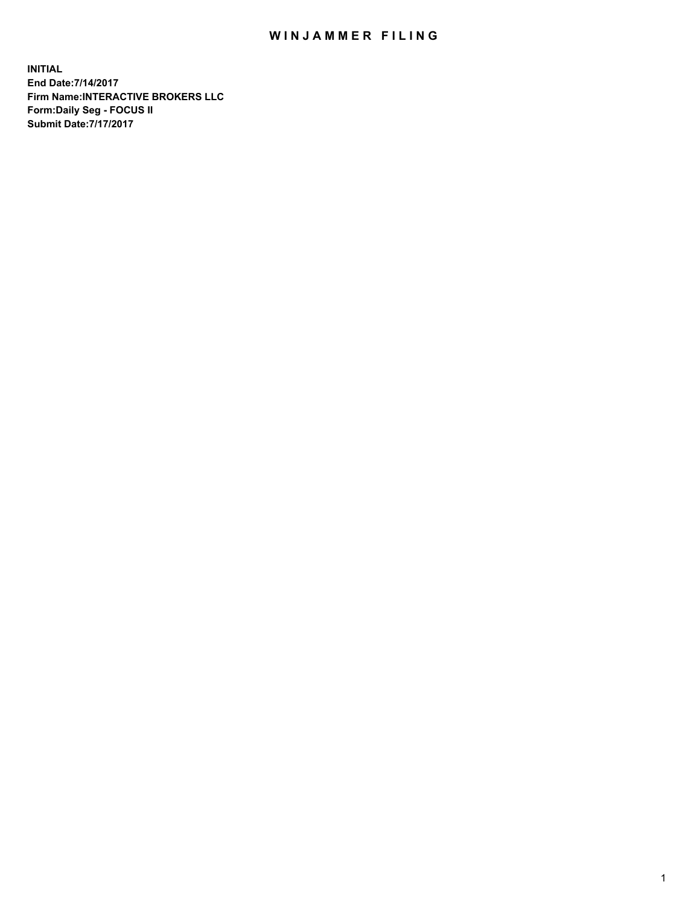## WIN JAMMER FILING

**INITIAL End Date:7/14/2017 Firm Name:INTERACTIVE BROKERS LLC Form:Daily Seg - FOCUS II Submit Date:7/17/2017**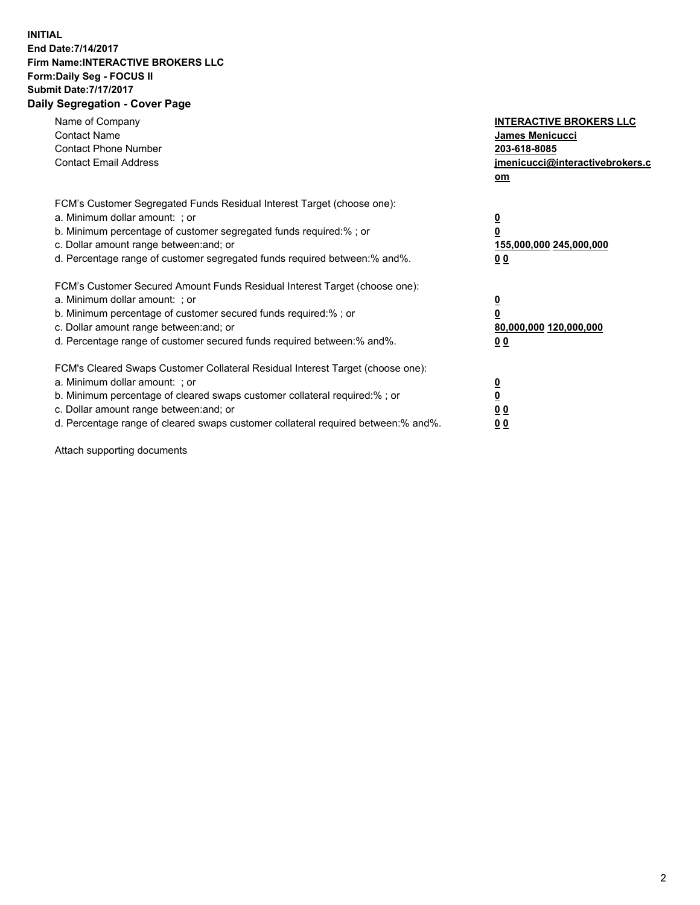## **INITIAL End Date:7/14/2017 Firm Name:INTERACTIVE BROKERS LLC Form:Daily Seg - FOCUS II Submit Date:7/17/2017 Daily Segregation - Cover Page**

| Name of Company<br><b>Contact Name</b><br><b>Contact Phone Number</b><br><b>Contact Email Address</b>                                                                                                                                                                                                                          | <b>INTERACTIVE BROKERS LLC</b><br><b>James Menicucci</b><br>203-618-8085<br>jmenicucci@interactivebrokers.c<br>om |
|--------------------------------------------------------------------------------------------------------------------------------------------------------------------------------------------------------------------------------------------------------------------------------------------------------------------------------|-------------------------------------------------------------------------------------------------------------------|
| FCM's Customer Segregated Funds Residual Interest Target (choose one):<br>a. Minimum dollar amount: ; or<br>b. Minimum percentage of customer segregated funds required:%; or<br>c. Dollar amount range between: and; or<br>d. Percentage range of customer segregated funds required between:% and%.                          | $\overline{\mathbf{0}}$<br>0<br>155,000,000 245,000,000<br>0 <sub>0</sub>                                         |
| FCM's Customer Secured Amount Funds Residual Interest Target (choose one):<br>a. Minimum dollar amount: ; or<br>b. Minimum percentage of customer secured funds required:%; or<br>c. Dollar amount range between: and; or<br>d. Percentage range of customer secured funds required between: % and %.                          | $\overline{\mathbf{0}}$<br>0<br>80,000,000 120,000,000<br>0 <sub>0</sub>                                          |
| FCM's Cleared Swaps Customer Collateral Residual Interest Target (choose one):<br>a. Minimum dollar amount: ; or<br>b. Minimum percentage of cleared swaps customer collateral required:% ; or<br>c. Dollar amount range between: and; or<br>d. Percentage range of cleared swaps customer collateral required between:% and%. | $\overline{\mathbf{0}}$<br>$\overline{\mathbf{0}}$<br>0 <sub>0</sub><br><u>00</u>                                 |

Attach supporting documents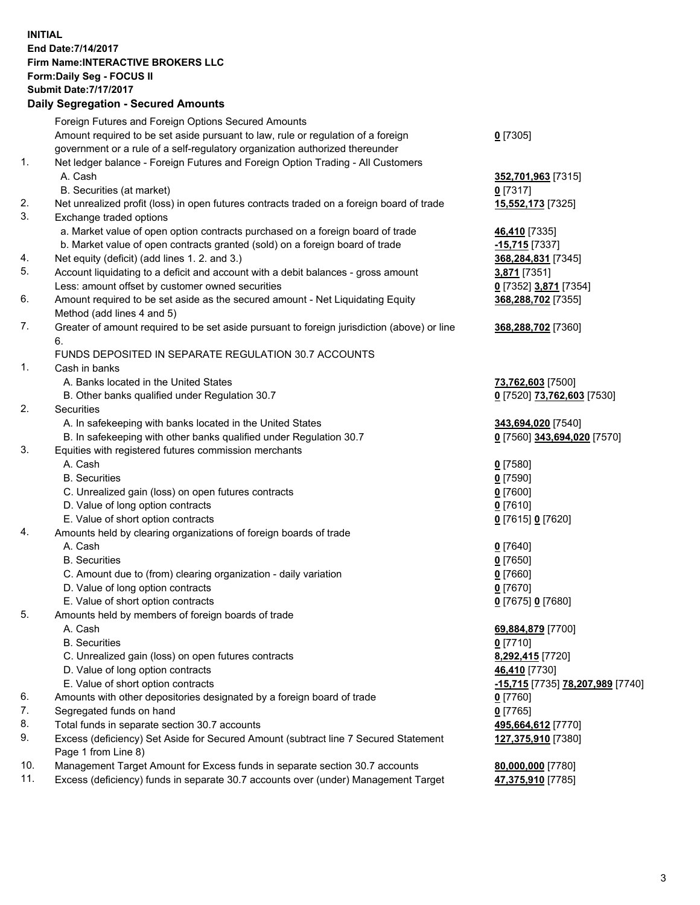## **INITIAL End Date:7/14/2017 Firm Name:INTERACTIVE BROKERS LLC Form:Daily Seg - FOCUS II Submit Date:7/17/2017 Daily Segregation - Secured Amounts**

|     | Daily Segregation - Secured Amounts                                                                        |                                  |
|-----|------------------------------------------------------------------------------------------------------------|----------------------------------|
|     | Foreign Futures and Foreign Options Secured Amounts                                                        |                                  |
|     | Amount required to be set aside pursuant to law, rule or regulation of a foreign                           | $0$ [7305]                       |
|     | government or a rule of a self-regulatory organization authorized thereunder                               |                                  |
| 1.  | Net ledger balance - Foreign Futures and Foreign Option Trading - All Customers                            |                                  |
|     | A. Cash                                                                                                    | 352,701,963 [7315]               |
|     | B. Securities (at market)                                                                                  | 0 [7317]                         |
| 2.  | Net unrealized profit (loss) in open futures contracts traded on a foreign board of trade                  | 15,552,173 [7325]                |
| 3.  | Exchange traded options                                                                                    |                                  |
|     | a. Market value of open option contracts purchased on a foreign board of trade                             | 46,410 [7335]                    |
|     | b. Market value of open contracts granted (sold) on a foreign board of trade                               | -15,715 <sup>[7337]</sup>        |
| 4.  | Net equity (deficit) (add lines 1.2. and 3.)                                                               | 368,284,831 [7345]               |
| 5.  | Account liquidating to a deficit and account with a debit balances - gross amount                          | 3,871 [7351]                     |
|     | Less: amount offset by customer owned securities                                                           | 0 [7352] 3,871 [7354]            |
| 6.  | Amount required to be set aside as the secured amount - Net Liquidating Equity                             | 368,288,702 [7355]               |
|     | Method (add lines 4 and 5)                                                                                 |                                  |
| 7.  | Greater of amount required to be set aside pursuant to foreign jurisdiction (above) or line                | 368,288,702 [7360]               |
|     | 6.                                                                                                         |                                  |
|     | FUNDS DEPOSITED IN SEPARATE REGULATION 30.7 ACCOUNTS                                                       |                                  |
| 1.  | Cash in banks                                                                                              |                                  |
|     | A. Banks located in the United States                                                                      | 73,762,603 [7500]                |
|     | B. Other banks qualified under Regulation 30.7                                                             | 0 [7520] 73,762,603 [7530]       |
| 2.  | Securities                                                                                                 |                                  |
|     | A. In safekeeping with banks located in the United States                                                  | 343,694,020 [7540]               |
|     | B. In safekeeping with other banks qualified under Regulation 30.7                                         | 0 [7560] 343,694,020 [7570]      |
| 3.  | Equities with registered futures commission merchants                                                      |                                  |
|     | A. Cash                                                                                                    | $0$ [7580]                       |
|     | <b>B.</b> Securities                                                                                       | $0$ [7590]                       |
|     | C. Unrealized gain (loss) on open futures contracts                                                        | $0$ [7600]                       |
|     | D. Value of long option contracts                                                                          | $0$ [7610]                       |
|     | E. Value of short option contracts                                                                         | 0 [7615] 0 [7620]                |
| 4.  | Amounts held by clearing organizations of foreign boards of trade                                          |                                  |
|     | A. Cash                                                                                                    | $0$ [7640]                       |
|     | <b>B.</b> Securities                                                                                       | $0$ [7650]                       |
|     | C. Amount due to (from) clearing organization - daily variation                                            | $0$ [7660]                       |
|     | D. Value of long option contracts                                                                          | $0$ [7670]                       |
|     | E. Value of short option contracts                                                                         | 0 [7675] 0 [7680]                |
| 5.  | Amounts held by members of foreign boards of trade                                                         |                                  |
|     | A. Cash                                                                                                    | 69,884,879 [7700]                |
|     | <b>B.</b> Securities                                                                                       | $0$ [7710]                       |
|     | C. Unrealized gain (loss) on open futures contracts                                                        | 8,292,415 [7720]                 |
|     | D. Value of long option contracts                                                                          | 46,410 [7730]                    |
|     | E. Value of short option contracts                                                                         | -15,715 [7735] 78,207,989 [7740] |
| 6.  | Amounts with other depositories designated by a foreign board of trade                                     | <u>0</u> [7760]                  |
| 7.  | Segregated funds on hand                                                                                   | $0$ [7765]                       |
| 8.  | Total funds in separate section 30.7 accounts                                                              | 495,664,612 [7770]               |
| 9.  | Excess (deficiency) Set Aside for Secured Amount (subtract line 7 Secured Statement<br>Page 1 from Line 8) | 127,375,910 [7380]               |
| 10. | Management Target Amount for Excess funds in separate section 30.7 accounts                                | 80,000,000 [7780]                |
| 11. | Excess (deficiency) funds in separate 30.7 accounts over (under) Management Target                         | 47,375,910 [7785]                |
|     |                                                                                                            |                                  |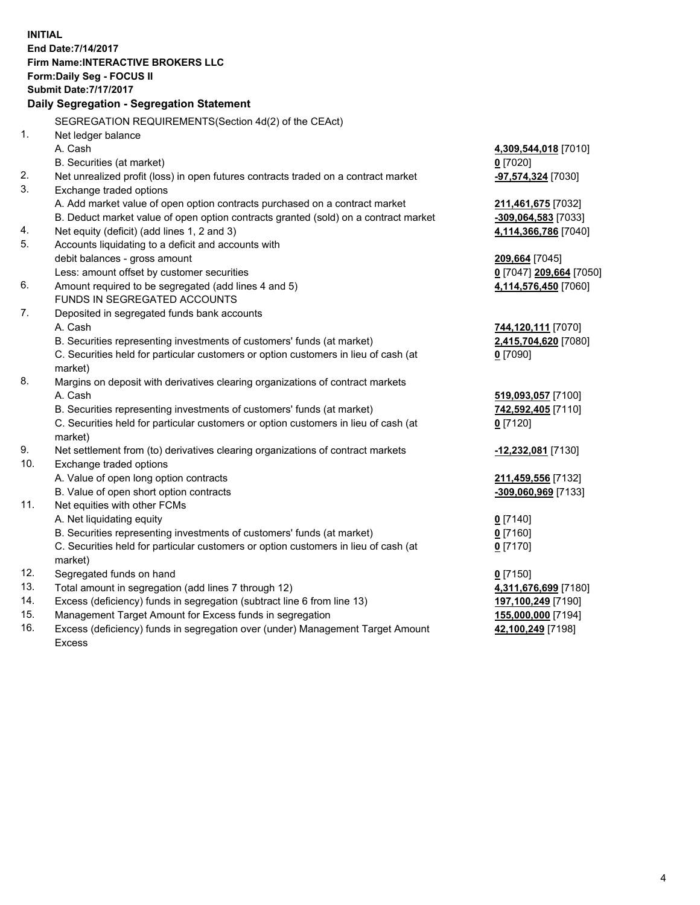**INITIAL End Date:7/14/2017 Firm Name:INTERACTIVE BROKERS LLC Form:Daily Seg - FOCUS II Submit Date:7/17/2017 Daily Segregation - Segregation Statement** SEGREGATION REQUIREMENTS(Section 4d(2) of the CEAct) 1. Net ledger balance A. Cash **4,309,544,018** [7010] B. Securities (at market) **0** [7020] 2. Net unrealized profit (loss) in open futures contracts traded on a contract market **-97,574,324** [7030] 3. Exchange traded options A. Add market value of open option contracts purchased on a contract market **211,461,675** [7032] B. Deduct market value of open option contracts granted (sold) on a contract market **-309,064,583** [7033] 4. Net equity (deficit) (add lines 1, 2 and 3) **4,114,366,786** [7040] 5. Accounts liquidating to a deficit and accounts with debit balances - gross amount **209,664** [7045] Less: amount offset by customer securities **0** [7047] **209,664** [7050] 6. Amount required to be segregated (add lines 4 and 5) **4,114,576,450** [7060] FUNDS IN SEGREGATED ACCOUNTS 7. Deposited in segregated funds bank accounts A. Cash **744,120,111** [7070] B. Securities representing investments of customers' funds (at market) **2,415,704,620** [7080] C. Securities held for particular customers or option customers in lieu of cash (at market) **0** [7090] 8. Margins on deposit with derivatives clearing organizations of contract markets A. Cash **519,093,057** [7100] B. Securities representing investments of customers' funds (at market) **742,592,405** [7110] C. Securities held for particular customers or option customers in lieu of cash (at market) **0** [7120] 9. Net settlement from (to) derivatives clearing organizations of contract markets **-12,232,081** [7130] 10. Exchange traded options A. Value of open long option contracts **211,459,556** [7132] B. Value of open short option contracts **-309,060,969** [7133] 11. Net equities with other FCMs A. Net liquidating equity **0** [7140] B. Securities representing investments of customers' funds (at market) **0** [7160] C. Securities held for particular customers or option customers in lieu of cash (at market) **0** [7170] 12. Segregated funds on hand **0** [7150] 13. Total amount in segregation (add lines 7 through 12) **4,311,676,699** [7180] 14. Excess (deficiency) funds in segregation (subtract line 6 from line 13) **197,100,249** [7190] 15. Management Target Amount for Excess funds in segregation **155,000,000** [7194] **42,100,249** [7198]

16. Excess (deficiency) funds in segregation over (under) Management Target Amount Excess